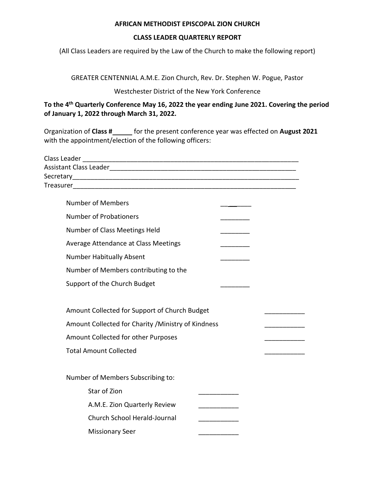## **AFRICAN METHODIST EPISCOPAL ZION CHURCH**

## **CLASS LEADER QUARTERLY REPORT**

(All Class Leaders are required by the Law of the Church to make the following report)

GREATER CENTENNIAL A.M.E. Zion Church, Rev. Dr. Stephen W. Pogue, Pastor

Westchester District of the New York Conference

**To the 4 th Quarterly Conference May 16, 2022 the year ending June 2021. Covering the period of January 1, 2022 through March 31, 2022.** 

Organization of **Class #** for the present conference year was effected on **August 2021** with the appointment/election of the following officers:

| Class Leader                                        |  |
|-----------------------------------------------------|--|
|                                                     |  |
|                                                     |  |
|                                                     |  |
| <b>Number of Members</b>                            |  |
| <b>Number of Probationers</b>                       |  |
| Number of Class Meetings Held                       |  |
| Average Attendance at Class Meetings                |  |
| <b>Number Habitually Absent</b>                     |  |
| Number of Members contributing to the               |  |
| Support of the Church Budget                        |  |
|                                                     |  |
| Amount Collected for Support of Church Budget       |  |
| Amount Collected for Charity / Ministry of Kindness |  |
| Amount Collected for other Purposes                 |  |
| <b>Total Amount Collected</b>                       |  |
|                                                     |  |
| Number of Members Subscribing to:                   |  |
| Star of Zion                                        |  |
| A.M.E. Zion Quarterly Review                        |  |
| Church School Herald-Journal                        |  |
| <b>Missionary Seer</b>                              |  |